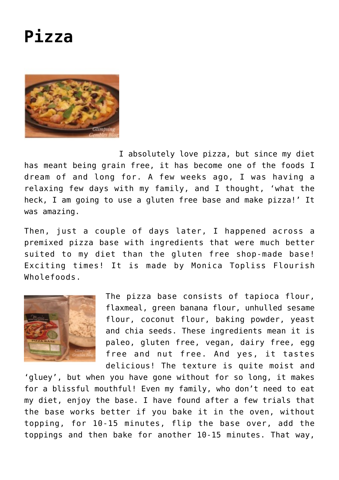

I absolutely love pizza, but since my diet has meant being grain free, it has become one of the foods I dream of and long for. A few weeks ago, I was having a relaxing few days with my family, and I thought, 'what the heck, I am going to use a gluten free base and make pizza!' It was amazing.

Then, just a couple of days later, I happened across a premixed pizza base with ingredients that were much better suited to my diet than the gluten free shop-made base! Exciting times! It is made by Monica Topliss Flourish Wholefoods.



The pizza base consists of tapioca flour, flaxmeal, green banana flour, unhulled sesame flour, coconut flour, baking powder, yeast and chia seeds. These ingredients mean it is paleo, gluten free, vegan, dairy free, egg free and nut free. And yes, it tastes delicious! The texture is quite moist and

'gluey', but when you have gone without for so long, it makes for a blissful mouthful! Even my family, who don't need to eat my diet, enjoy the base. I have found after a few trials that the base works better if you bake it in the oven, without topping, for 10-15 minutes, flip the base over, add the toppings and then bake for another 10-15 minutes. That way,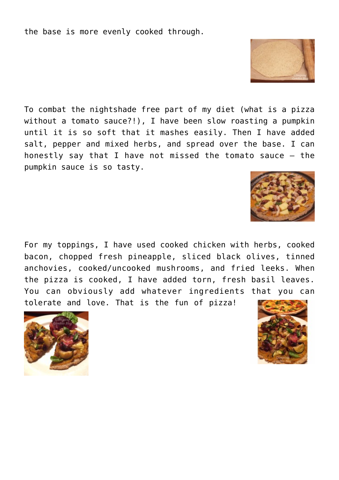the base is more evenly cooked through.

To combat the nightshade free part of my diet (what is a pizza without a tomato sauce?!), I have been slow roasting a pumpkin until it is so soft that it mashes easily. Then I have added salt, pepper and mixed herbs, and spread over the base. I can honestly say that I have not missed the tomato sauce – the pumpkin sauce is so tasty.

For my toppings, I have used cooked chicken with herbs, cooked bacon, chopped fresh pineapple, sliced black olives, tinned anchovies, cooked/uncooked mushrooms, and fried leeks. When the pizza is cooked, I have added torn, fresh basil leaves. You can obviously add whatever ingredients that you can tolerate and love. That is the fun of pizza!







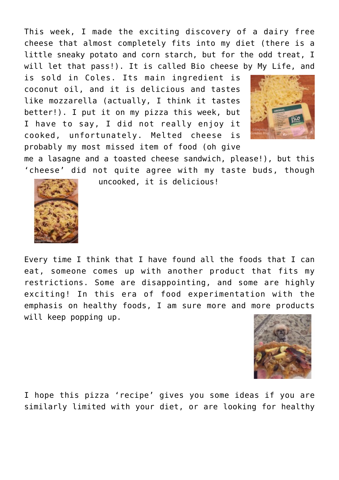This week, I made the exciting discovery of a dairy free cheese that almost completely fits into my diet (there is a little sneaky potato and corn starch, but for the odd treat, I will let that pass!). It is called Bio cheese by My Life, and

is sold in Coles. Its main ingredient is coconut oil, and it is delicious and tastes like mozzarella (actually, I think it tastes better!). I put it on my pizza this week, but I have to say, I did not really enjoy it cooked, unfortunately. Melted cheese is probably my most missed item of food (oh give



me a lasagne and a toasted cheese sandwich, please!), but this 'cheese' did not quite agree with my taste buds, though uncooked, it is delicious!



Every time I think that I have found all the foods that I can eat, someone comes up with another product that fits my restrictions. Some are disappointing, and some are highly exciting! In this era of food experimentation with the emphasis on healthy foods, I am sure more and more products will keep popping up.



I hope this pizza 'recipe' gives you some ideas if you are similarly limited with your diet, or are looking for healthy